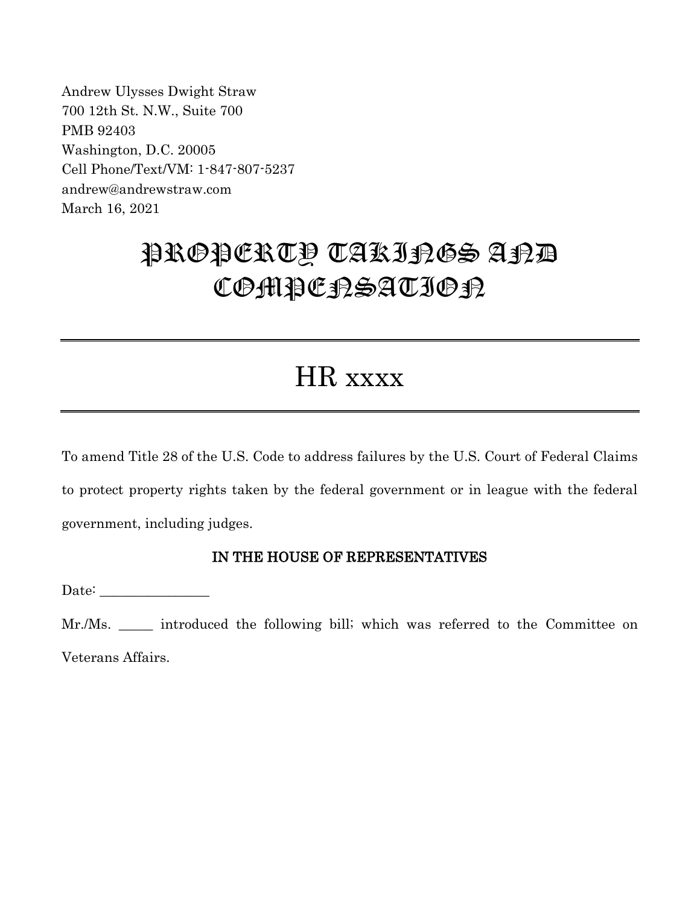Andrew Ulysses Dwight Straw 700 12th St. N.W., Suite 700 PMB 92403 Washington, D.C. 20005 Cell Phone/Text/VM: 1-847-807-5237 andrew@andrewstraw.com March 16, 2021

# PROPERTY TAKINGS AND COMPCRSATION

## HR xxxx

To amend Title 28 of the U.S. Code to address failures by the U.S. Court of Federal Claims to protect property rights taken by the federal government or in league with the federal government, including judges.

### IN THE HOUSE OF REPRESENTATIVES

Date:

Mr./Ms. \_\_\_\_\_ introduced the following bill; which was referred to the Committee on Veterans Affairs.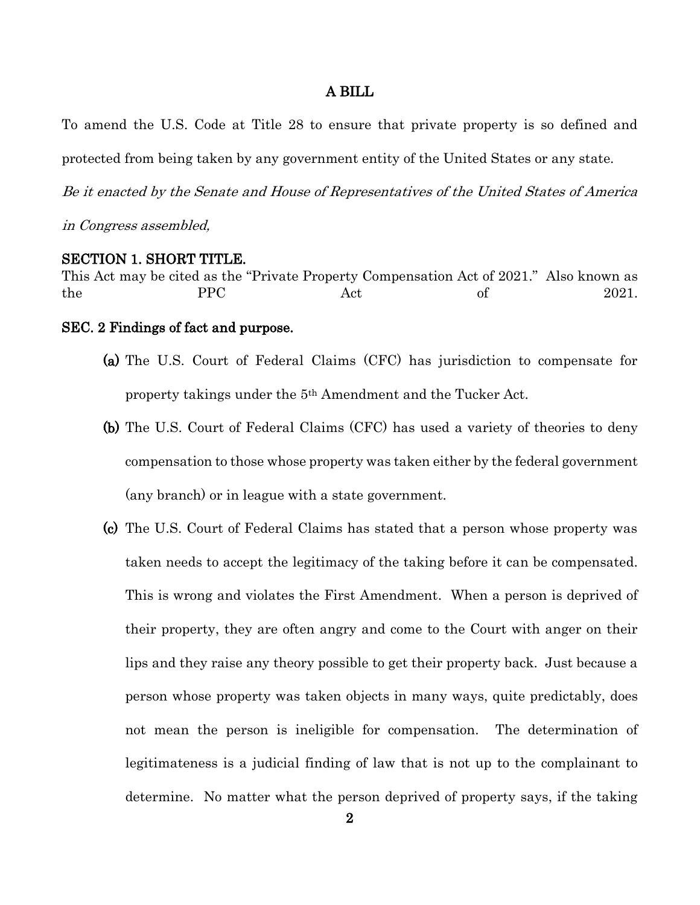#### A BILL

To amend the U.S. Code at Title 28 to ensure that private property is so defined and protected from being taken by any government entity of the United States or any state.

Be it enacted by the Senate and House of Representatives of the United States of America

in Congress assembled,

#### SECTION 1. SHORT TITLE.

This Act may be cited as the "Private Property Compensation Act of 2021." Also known as the PPC Act of 2021.

#### SEC. 2 Findings of fact and purpose.

- (a) The U.S. Court of Federal Claims (CFC) has jurisdiction to compensate for property takings under the 5th Amendment and the Tucker Act.
- (b) The U.S. Court of Federal Claims (CFC) has used a variety of theories to deny compensation to those whose property was taken either by the federal government (any branch) or in league with a state government.
- (c) The U.S. Court of Federal Claims has stated that a person whose property was taken needs to accept the legitimacy of the taking before it can be compensated. This is wrong and violates the First Amendment. When a person is deprived of their property, they are often angry and come to the Court with anger on their lips and they raise any theory possible to get their property back. Just because a person whose property was taken objects in many ways, quite predictably, does not mean the person is ineligible for compensation. The determination of legitimateness is a judicial finding of law that is not up to the complainant to determine. No matter what the person deprived of property says, if the taking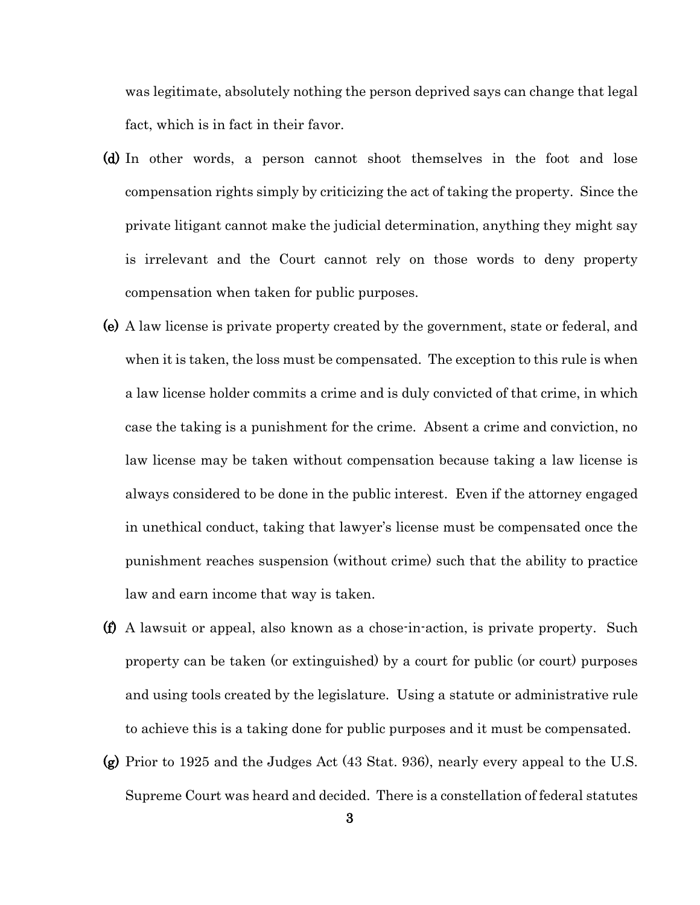was legitimate, absolutely nothing the person deprived says can change that legal fact, which is in fact in their favor.

- (d) In other words, a person cannot shoot themselves in the foot and lose compensation rights simply by criticizing the act of taking the property. Since the private litigant cannot make the judicial determination, anything they might say is irrelevant and the Court cannot rely on those words to deny property compensation when taken for public purposes.
- (e) A law license is private property created by the government, state or federal, and when it is taken, the loss must be compensated. The exception to this rule is when a law license holder commits a crime and is duly convicted of that crime, in which case the taking is a punishment for the crime. Absent a crime and conviction, no law license may be taken without compensation because taking a law license is always considered to be done in the public interest. Even if the attorney engaged in unethical conduct, taking that lawyer's license must be compensated once the punishment reaches suspension (without crime) such that the ability to practice law and earn income that way is taken.
- (f) A lawsuit or appeal, also known as a chose-in-action, is private property. Such property can be taken (or extinguished) by a court for public (or court) purposes and using tools created by the legislature. Using a statute or administrative rule to achieve this is a taking done for public purposes and it must be compensated.
- (g) Prior to 1925 and the Judges Act (43 Stat. 936), nearly every appeal to the U.S. Supreme Court was heard and decided. There is a constellation of federal statutes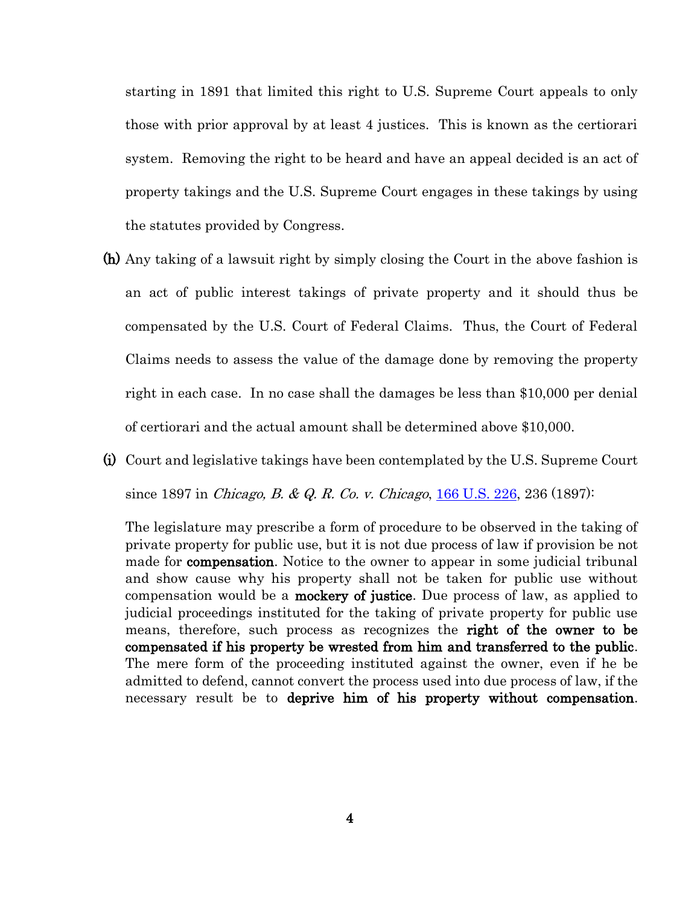starting in 1891 that limited this right to U.S. Supreme Court appeals to only those with prior approval by at least 4 justices. This is known as the certiorari system. Removing the right to be heard and have an appeal decided is an act of property takings and the U.S. Supreme Court engages in these takings by using the statutes provided by Congress.

- (h) Any taking of a lawsuit right by simply closing the Court in the above fashion is an act of public interest takings of private property and it should thus be compensated by the U.S. Court of Federal Claims. Thus, the Court of Federal Claims needs to assess the value of the damage done by removing the property right in each case. In no case shall the damages be less than \$10,000 per denial of certiorari and the actual amount shall be determined above \$10,000.
- (i) Court and legislative takings have been contemplated by the U.S. Supreme Court since 1897 in *Chicago, B. & Q. R. Co. v. Chicago*, <u>166 U.S. 226</u>, 236 (1897):

The legislature may prescribe a form of procedure to be observed in the taking of private property for public use, but it is not due process of law if provision be not made for **compensation**. Notice to the owner to appear in some judicial tribunal and show cause why his property shall not be taken for public use without compensation would be a mockery of justice. Due process of law, as applied to judicial proceedings instituted for the taking of private property for public use means, therefore, such process as recognizes the right of the owner to be compensated if his property be wrested from him and transferred to the public. The mere form of the proceeding instituted against the owner, even if he be admitted to defend, cannot convert the process used into due process of law, if the necessary result be to deprive him of his property without compensation.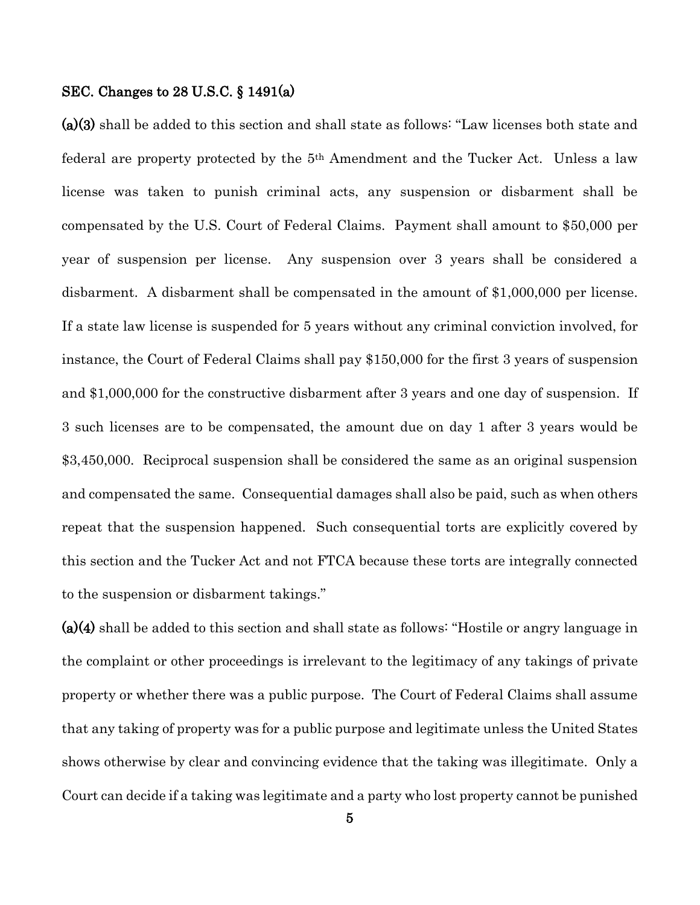#### SEC. Changes to 28 U.S.C. § 1491(a)

(a)(3) shall be added to this section and shall state as follows: "Law licenses both state and federal are property protected by the 5th Amendment and the Tucker Act. Unless a law license was taken to punish criminal acts, any suspension or disbarment shall be compensated by the U.S. Court of Federal Claims. Payment shall amount to \$50,000 per year of suspension per license. Any suspension over 3 years shall be considered a disbarment. A disbarment shall be compensated in the amount of \$1,000,000 per license. If a state law license is suspended for 5 years without any criminal conviction involved, for instance, the Court of Federal Claims shall pay \$150,000 for the first 3 years of suspension and \$1,000,000 for the constructive disbarment after 3 years and one day of suspension. If 3 such licenses are to be compensated, the amount due on day 1 after 3 years would be \$3,450,000. Reciprocal suspension shall be considered the same as an original suspension and compensated the same. Consequential damages shall also be paid, such as when others repeat that the suspension happened. Such consequential torts are explicitly covered by this section and the Tucker Act and not FTCA because these torts are integrally connected to the suspension or disbarment takings."

(a)(4) shall be added to this section and shall state as follows: "Hostile or angry language in the complaint or other proceedings is irrelevant to the legitimacy of any takings of private property or whether there was a public purpose. The Court of Federal Claims shall assume that any taking of property was for a public purpose and legitimate unless the United States shows otherwise by clear and convincing evidence that the taking was illegitimate. Only a Court can decide if a taking was legitimate and a party who lost property cannot be punished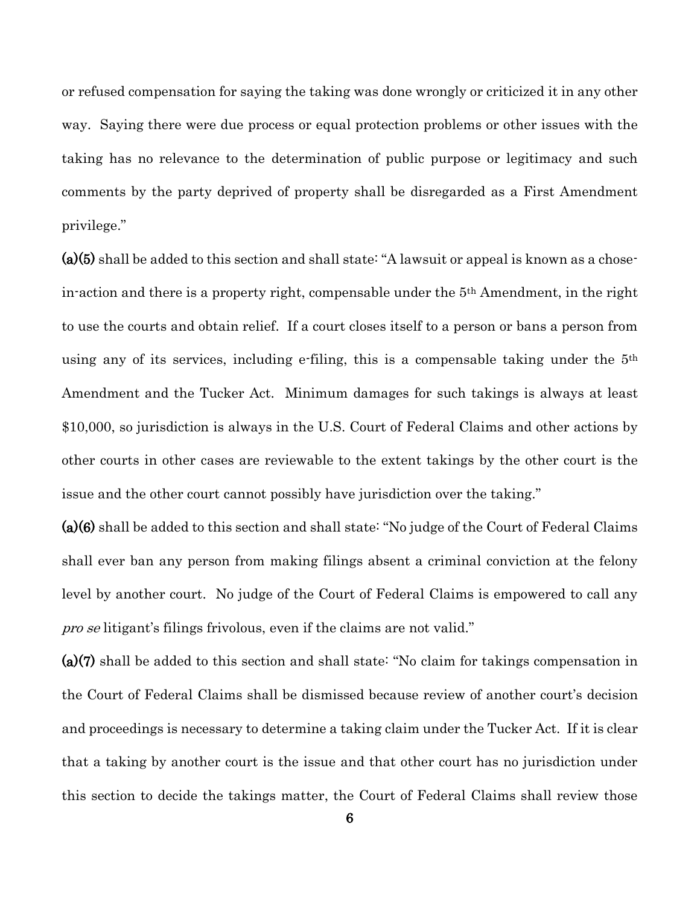or refused compensation for saying the taking was done wrongly or criticized it in any other way. Saying there were due process or equal protection problems or other issues with the taking has no relevance to the determination of public purpose or legitimacy and such comments by the party deprived of property shall be disregarded as a First Amendment privilege."

(a)(5) shall be added to this section and shall state: "A lawsuit or appeal is known as a chosein-action and there is a property right, compensable under the 5th Amendment, in the right to use the courts and obtain relief. If a court closes itself to a person or bans a person from using any of its services, including e-filing, this is a compensable taking under the 5th Amendment and the Tucker Act. Minimum damages for such takings is always at least \$10,000, so jurisdiction is always in the U.S. Court of Federal Claims and other actions by other courts in other cases are reviewable to the extent takings by the other court is the issue and the other court cannot possibly have jurisdiction over the taking."

(a)(6) shall be added to this section and shall state: "No judge of the Court of Federal Claims shall ever ban any person from making filings absent a criminal conviction at the felony level by another court. No judge of the Court of Federal Claims is empowered to call any pro se litigant's filings frivolous, even if the claims are not valid."

(a)(7) shall be added to this section and shall state: "No claim for takings compensation in the Court of Federal Claims shall be dismissed because review of another court's decision and proceedings is necessary to determine a taking claim under the Tucker Act. If it is clear that a taking by another court is the issue and that other court has no jurisdiction under this section to decide the takings matter, the Court of Federal Claims shall review those